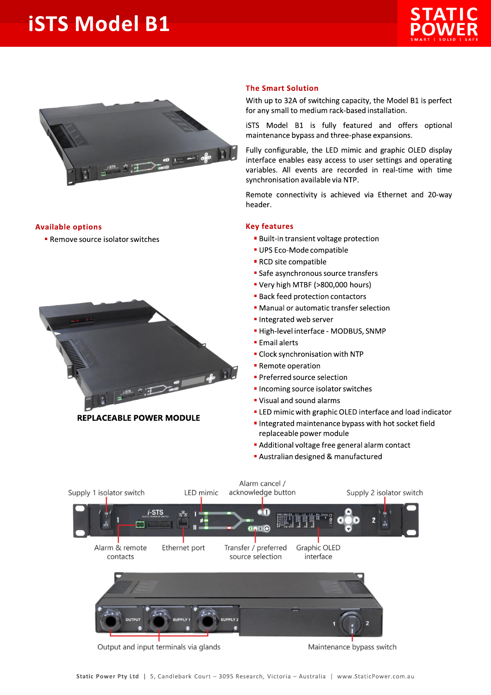## **iSTS Model B1**





## **Available options**

Remove source isolator switches



**REPLACEABLE POWER MODULE** 

## **The Smart Solution**

With up to 32A of switching capacity, the Model B1 is perfect for any small to medium rack-based installation.

iSTS Model B1 is fully featured and offers optional maintenance bypass and three-phase expansions.

Fully configurable, the LED mimic and graphic OLED display interface enables easy access to user settings and operating variables. All events are recorded in real-time with time synchronisation available via NTP.

Remote connectivity is achieved via Ethernet and 20-way header.

## **Key features**

- **Built-in transient voltage protection**
- UPS Eco-Mode compatible
- RCD site compatible
- Safe asynchronous source transfers
- " Very high MTBF (>800,000 hours)
- **Back feed protection contactors**
- Manual or automatic transfer selection
- Integrated web server
- · High-level interface MODBUS, SNMP
- **Email alerts**
- Clock synchronisation with NTP
- Remote operation
- Preferred source selection
- Incoming source isolator switches
- " Visual and sound alarms
- " LED mimic with graphic OLED interface and load indicator
- Integrated maintenance bypass with hot socket field replaceable power module
- Additional voltage free general alarm contact
- Australian designed & manufactured



Output and input terminals via glands

Maintenance bypass switch